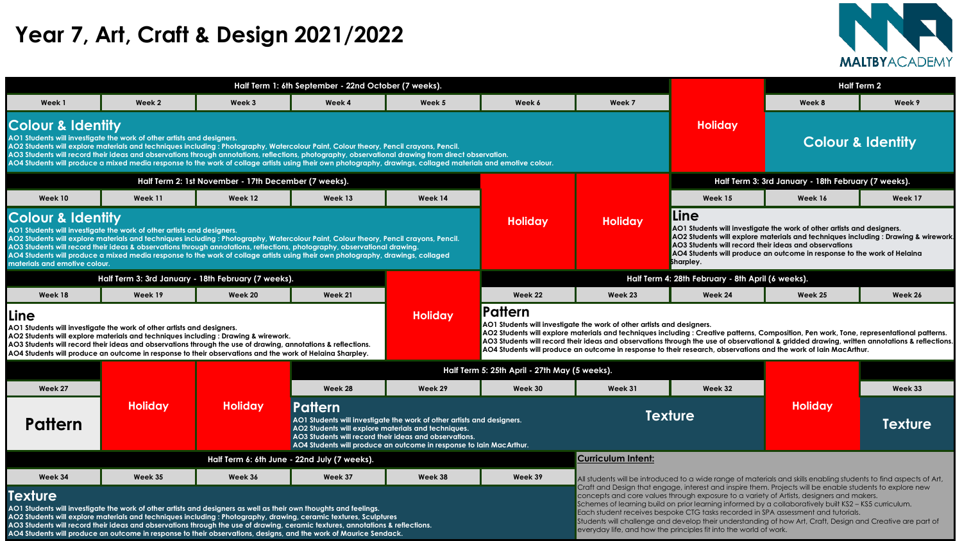|                                                                                                                                                                                                                                                                                                                                                                                                                                                                                             |                                                                 |                                                                                                                                                                                                                                                                                                                                                                                                                                          | Half Term 1: 6th September - 22nd October (7 weeks). |                |                |                                                                        |                                                                                                                                                                                                                                                                                                                     | <b>Half Term 2</b>           |         |  |
|---------------------------------------------------------------------------------------------------------------------------------------------------------------------------------------------------------------------------------------------------------------------------------------------------------------------------------------------------------------------------------------------------------------------------------------------------------------------------------------------|-----------------------------------------------------------------|------------------------------------------------------------------------------------------------------------------------------------------------------------------------------------------------------------------------------------------------------------------------------------------------------------------------------------------------------------------------------------------------------------------------------------------|------------------------------------------------------|----------------|----------------|------------------------------------------------------------------------|---------------------------------------------------------------------------------------------------------------------------------------------------------------------------------------------------------------------------------------------------------------------------------------------------------------------|------------------------------|---------|--|
| Week 1                                                                                                                                                                                                                                                                                                                                                                                                                                                                                      | Week 2                                                          | Week 3                                                                                                                                                                                                                                                                                                                                                                                                                                   | Week 4                                               | Week 5         | Week 6         | Week 7                                                                 |                                                                                                                                                                                                                                                                                                                     | Week 8                       | Week 9  |  |
| ur & Identity                                                                                                                                                                                                                                                                                                                                                                                                                                                                               | lents will investigate the work of other artists and designers. | lents will explore materials and techniques including : Photography, Watercolour Paint, Colour theory, Pencil crayons, Pencil.<br>lents will record their ideas and observations through annotations, reflections, photography, observational drawing from direct observation.<br>lents will produce a mixed media response to the work of collage artists using their own photography, drawings, collaged materials and emotive colour. |                                                      |                |                |                                                                        | <b>Holiday</b>                                                                                                                                                                                                                                                                                                      | <b>Colour &amp; Identity</b> |         |  |
|                                                                                                                                                                                                                                                                                                                                                                                                                                                                                             |                                                                 | Half Term 2: 1st November - 17th December (7 weeks).                                                                                                                                                                                                                                                                                                                                                                                     |                                                      |                |                |                                                                        | Half Term 3: 3rd January - 18th February (7 weeks).                                                                                                                                                                                                                                                                 |                              |         |  |
| Week 10                                                                                                                                                                                                                                                                                                                                                                                                                                                                                     | Week 11                                                         | Week 12                                                                                                                                                                                                                                                                                                                                                                                                                                  | Week 13                                              | Week 14        |                |                                                                        | Week 15                                                                                                                                                                                                                                                                                                             | Week 16                      | Week 17 |  |
| ur & Identity<br>lents will investigate the work of other artists and designers.<br>lents will explore materials and techniques including : Photography, Watercolour Paint, Colour theory, Pencil crayons, Pencil.<br>lents will record their ideas & observations through annotations, reflections, photography, observational drawing.<br>lents will produce a mixed media response to the work of collage artists using their own photography, drawings, collaged<br>and emotive colour. |                                                                 |                                                                                                                                                                                                                                                                                                                                                                                                                                          |                                                      |                | <b>Holiday</b> | <b>Holiday</b>                                                         | Line<br>AO1 Students will investigate the work of other artists and designers.<br>AO2 Students will explore materials and techniques including : Drawing & wirewor<br>AO3 Students will record their ideas and observations<br>AO4 Students will produce an outcome in response to the work of Helaina<br>Sharpley. |                              |         |  |
|                                                                                                                                                                                                                                                                                                                                                                                                                                                                                             |                                                                 | Half Term 3: 3rd January - 18th February (7 weeks).                                                                                                                                                                                                                                                                                                                                                                                      |                                                      |                |                |                                                                        | Half Term 4: 28th February - 8th April (6 weeks).                                                                                                                                                                                                                                                                   |                              |         |  |
| Week 18                                                                                                                                                                                                                                                                                                                                                                                                                                                                                     | Week 19                                                         | <b>Week 20</b>                                                                                                                                                                                                                                                                                                                                                                                                                           | Week 21                                              |                | Week 22        | Week 23                                                                | Week 24                                                                                                                                                                                                                                                                                                             | Week 25                      | Week 26 |  |
|                                                                                                                                                                                                                                                                                                                                                                                                                                                                                             | lents will investigate the work of other artists and designers. | ante will oxplare materials and techniques including : Drawing 8 wirewark                                                                                                                                                                                                                                                                                                                                                                |                                                      | <b>Holiday</b> | Pattern        | AO1 Students will investigate the work of other artists and designers. | AO2 Students will explore materials and techniques including : Creative patterns, Composition, Pen work, Tone, representational patterns.                                                                                                                                                                           |                              |         |  |



|                                                               |                                                                                                                                                                                                                                                                                                                                                                                                                                                                                                                                         |                                                      | Half Term 1: 6th September - 22nd October (7 weeks).                                                                     |                                                                                                                                               |                                                                                                                                                                                                                                            |                                                   |
|---------------------------------------------------------------|-----------------------------------------------------------------------------------------------------------------------------------------------------------------------------------------------------------------------------------------------------------------------------------------------------------------------------------------------------------------------------------------------------------------------------------------------------------------------------------------------------------------------------------------|------------------------------------------------------|--------------------------------------------------------------------------------------------------------------------------|-----------------------------------------------------------------------------------------------------------------------------------------------|--------------------------------------------------------------------------------------------------------------------------------------------------------------------------------------------------------------------------------------------|---------------------------------------------------|
| Week 1                                                        | Week 2                                                                                                                                                                                                                                                                                                                                                                                                                                                                                                                                  | Week 3                                               | Week 4                                                                                                                   | Week 5                                                                                                                                        | Week 6                                                                                                                                                                                                                                     | Week 7                                            |
| <b>Colour &amp; Identity</b>                                  | AO1 Students will investigate the work of other artists and designers.<br>AO2 Students will explore materials and techniques including : Photography, Watercolour Paint, Colour theory, Pencil crayons, Pencil.<br>AO3 Students will record their ideas and observations through annotations, reflections, photography, observational drawing from direct observation.<br>AO4 Students will produce a mixed media response to the work of collage artists using their own photography, drawings, collaged materials and emotive colour. |                                                      |                                                                                                                          |                                                                                                                                               |                                                                                                                                                                                                                                            |                                                   |
|                                                               |                                                                                                                                                                                                                                                                                                                                                                                                                                                                                                                                         | Half Term 2: 1st November - 17th December (7 weeks). |                                                                                                                          |                                                                                                                                               |                                                                                                                                                                                                                                            |                                                   |
| Week 10                                                       | Week 11                                                                                                                                                                                                                                                                                                                                                                                                                                                                                                                                 | Week 12                                              | Week 13                                                                                                                  | Week 14                                                                                                                                       |                                                                                                                                                                                                                                            |                                                   |
| <b>Colour &amp; Identity</b><br>materials and emotive colour. | AO1 Students will investigate the work of other artists and designers.<br>AO2 Students will explore materials and techniques including : Photography, Watercolour Paint, Colour theory, Pencil crayons, Pencil.<br>AO3 Students will record their ideas & observations through annotations, reflections, photography, observational drawing.<br>AO4 Students will produce a mixed media response to the work of collage artists using their own photography, drawings, collaged                                                         |                                                      |                                                                                                                          |                                                                                                                                               | <b>Holiday</b>                                                                                                                                                                                                                             | <b>Holiday</b>                                    |
|                                                               | Half Term 3: 3rd January - 18th February (7 weeks).                                                                                                                                                                                                                                                                                                                                                                                                                                                                                     |                                                      |                                                                                                                          |                                                                                                                                               |                                                                                                                                                                                                                                            | <b>Half Terr</b>                                  |
| Week 18                                                       | Week 19                                                                                                                                                                                                                                                                                                                                                                                                                                                                                                                                 | Week 20                                              | Week 21                                                                                                                  |                                                                                                                                               | Week 22                                                                                                                                                                                                                                    | Week 23                                           |
| <b>Line</b>                                                   | AO1 Students will investigate the work of other artists and designers.<br>AO2 Students will explore materials and techniques including : Drawing & wirework.<br>AO3 Students will record their ideas and observations through the use of drawing, annotations & reflections.<br>AO4 Students will produce an outcome in response to their observations and the work of Helaina Sharpley.                                                                                                                                                |                                                      |                                                                                                                          | <b>Holiday</b>                                                                                                                                | <b>Pattern</b><br>AO1 Students will investigate the work of other artist<br>AO2 Students will explore materials and techniques<br>AO3 Students will record their ideas and observation<br>AO4 Students will produce an outcome in response |                                                   |
|                                                               |                                                                                                                                                                                                                                                                                                                                                                                                                                                                                                                                         |                                                      |                                                                                                                          |                                                                                                                                               | Half Term 5: 25th April - 27th May (5 weeks).                                                                                                                                                                                              |                                                   |
| Week 27                                                       |                                                                                                                                                                                                                                                                                                                                                                                                                                                                                                                                         |                                                      | Week 28                                                                                                                  | Week 29                                                                                                                                       | Week 30                                                                                                                                                                                                                                    | Week 31                                           |
| <b>Pattern</b>                                                | <b>Holiday</b>                                                                                                                                                                                                                                                                                                                                                                                                                                                                                                                          | <b>Holiday</b>                                       | Pattern<br>AO2 Students will explore materials and techniques.<br>AO3 Students will record their ideas and observations. | AO1 Students will investigate the work of other artists and designers.<br>AO4 Students will produce an outcome in response to Iain MacArthur. |                                                                                                                                                                                                                                            | TΕ                                                |
|                                                               |                                                                                                                                                                                                                                                                                                                                                                                                                                                                                                                                         |                                                      | Half Term 6: 6th June - 22nd July (7 weeks).                                                                             |                                                                                                                                               |                                                                                                                                                                                                                                            | <b>Curriculum Intent:</b>                         |
| Week 34                                                       | Week 35                                                                                                                                                                                                                                                                                                                                                                                                                                                                                                                                 | Week 36                                              | Week 37                                                                                                                  | Week 38                                                                                                                                       | Week 39                                                                                                                                                                                                                                    | All students will be introd                       |
| Texture                                                       |                                                                                                                                                                                                                                                                                                                                                                                                                                                                                                                                         |                                                      |                                                                                                                          |                                                                                                                                               |                                                                                                                                                                                                                                            | Craft and Design that e<br>concepts and core valu |

**AO3 Students will record their ideas and observations through the use of observational & gridded drawing, written annotations & reflections. AO4 Students will produce an outcome in response to their research, observations and the work of Iain MacArthur.** 

|               |                |                | Half Term 5: 25th April - 27th May (5 weeks).                                                                                                                                                      |                                                                     |         |         |                |                |         |
|---------------|----------------|----------------|----------------------------------------------------------------------------------------------------------------------------------------------------------------------------------------------------|---------------------------------------------------------------------|---------|---------|----------------|----------------|---------|
| Week 27       |                |                | Week 28                                                                                                                                                                                            | Week 29                                                             | Week 30 | Week 31 | Week 32        |                | Week 33 |
| <b>attern</b> | <b>Holiday</b> | <b>Holiday</b> | Pattern<br>AO1 Students will investigate the work of other artists and designers.<br>AO2 Students will explore materials and techniques.<br>AO3 Students will record their ideas and observations. | AO4 Students will produce an outcome in response to Iain MacArthur. |         |         | <b>Texture</b> | <b>Holiday</b> | Textur  |

|         | <b>CALICAINIII IIIIEIII'</b>                                                                                                                                                                                                                                                                                                                                                                                                                                                                                                                                                       |
|---------|------------------------------------------------------------------------------------------------------------------------------------------------------------------------------------------------------------------------------------------------------------------------------------------------------------------------------------------------------------------------------------------------------------------------------------------------------------------------------------------------------------------------------------------------------------------------------------|
| Week 39 | All students will be introduced to a wide range of materials and skills enabling students to find aspects of                                                                                                                                                                                                                                                                                                                                                                                                                                                                       |
|         | Craft and Design that engage, interest and inspire them. Projects will be enable students to explore new<br>concepts and core values through exposure to a variety of Artists, designers and makers.<br>Schemes of learning build on prior learning informed by a collaboratively built KS2 - KS5 curriculum.<br>Each student receives bespoke CTG tasks recorded in SPA assessment and tutorials.<br>Students will challenge and develop their understanding of how Art, Craft, Design and Creative are part<br>everyday life, and how the principles fit into the world of work. |

**AO1 Students will investigate the work of other artists and designers as well as their own thoughts and feelings. AO2 Students will explore materials and techniques including : Photography, drawing, ceramic textures, Sculptures AO3 Students will record their ideas and observations through the use of drawing, ceramic textures, annotations & reflections. AO4 Students will produce an outcome in response to their observations, designs, and the work of Maurice Sendack.** 

# **Year 7, Art, Craft & Design 2021/2022**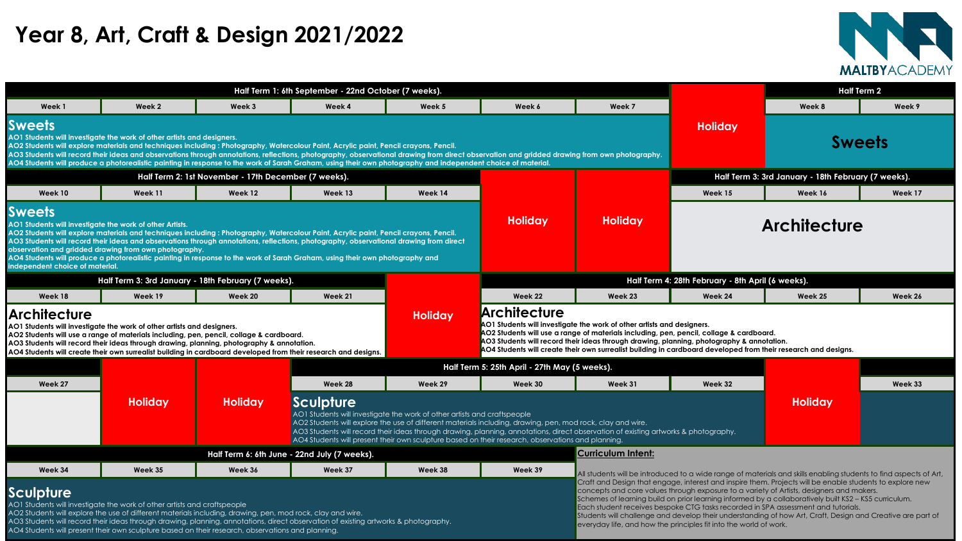|                                                                                                                                                                                                                                                                                                                                                                                                                                                                                                                                    |                                                                                                                                                                                                                                                                                                                                                                                                                                                                                                                                                                                                             |         | Half Term 1: 6th September - 22nd October (7 weeks). |                |                     |                                                                                                                                                                                                                                                                | <b>Half Term 2</b>                                |                                                     |         |
|------------------------------------------------------------------------------------------------------------------------------------------------------------------------------------------------------------------------------------------------------------------------------------------------------------------------------------------------------------------------------------------------------------------------------------------------------------------------------------------------------------------------------------|-------------------------------------------------------------------------------------------------------------------------------------------------------------------------------------------------------------------------------------------------------------------------------------------------------------------------------------------------------------------------------------------------------------------------------------------------------------------------------------------------------------------------------------------------------------------------------------------------------------|---------|------------------------------------------------------|----------------|---------------------|----------------------------------------------------------------------------------------------------------------------------------------------------------------------------------------------------------------------------------------------------------------|---------------------------------------------------|-----------------------------------------------------|---------|
| Week 1                                                                                                                                                                                                                                                                                                                                                                                                                                                                                                                             | Week 2                                                                                                                                                                                                                                                                                                                                                                                                                                                                                                                                                                                                      | Week 3  | Week 4                                               | Week 5         | Week 6              | Week 7                                                                                                                                                                                                                                                         |                                                   | Week 8                                              | Week 9  |
| ets                                                                                                                                                                                                                                                                                                                                                                                                                                                                                                                                | lents will investigate the work of other artists and designers.<br>lents will explore materials and techniques including : Photography, Watercolour Paint, Acrylic paint, Pencil crayons, Pencil.<br>lents will record their ideas and observations through annotations, reflections, photography, observational drawing from direct observation and gridded drawing from own photography.<br>lents will produce a photorealistic painting in response to the work of Sarah Graham, using their own photography and independent choice of material.<br>Half Term 2: 1st November - 17th December (7 weeks). |         |                                                      |                |                     |                                                                                                                                                                                                                                                                |                                                   | <b>Sweets</b>                                       |         |
|                                                                                                                                                                                                                                                                                                                                                                                                                                                                                                                                    |                                                                                                                                                                                                                                                                                                                                                                                                                                                                                                                                                                                                             |         |                                                      |                |                     |                                                                                                                                                                                                                                                                |                                                   | Half Term 3: 3rd January - 18th February (7 weeks). |         |
| Week 10                                                                                                                                                                                                                                                                                                                                                                                                                                                                                                                            | Week 11                                                                                                                                                                                                                                                                                                                                                                                                                                                                                                                                                                                                     | Week 12 | Week 13                                              | Week 14        |                     |                                                                                                                                                                                                                                                                | Week 15                                           | Week 16                                             | Week 17 |
| ets<br>lents will investigate the work of other Artists.<br>lents will explore materials and techniques including : Photography, Watercolour Paint, Acrylic paint, Pencil crayons, Pencil.<br>lents will record their ideas and observations through annotations, reflections, photography, observational drawing from direct<br>on and gridded drawing from own photography.<br>lents will produce a photorealistic painting in response to the work of Sarah Graham, using their own photography and<br>dent choice of material. |                                                                                                                                                                                                                                                                                                                                                                                                                                                                                                                                                                                                             |         |                                                      |                | <b>Holiday</b>      | <b>Holiday</b>                                                                                                                                                                                                                                                 |                                                   | <b>Architecture</b>                                 |         |
|                                                                                                                                                                                                                                                                                                                                                                                                                                                                                                                                    | Half Term 3: 3rd January - 18th February (7 weeks).                                                                                                                                                                                                                                                                                                                                                                                                                                                                                                                                                         |         |                                                      |                |                     |                                                                                                                                                                                                                                                                | Half Term 4: 28th February - 8th April (6 weeks). |                                                     |         |
| Week 18                                                                                                                                                                                                                                                                                                                                                                                                                                                                                                                            | Week 19                                                                                                                                                                                                                                                                                                                                                                                                                                                                                                                                                                                                     | Week 20 | Week 21                                              |                | Week 22             | Week 23                                                                                                                                                                                                                                                        | Week 24                                           | Week 25                                             | Week 26 |
| <b>itecture</b>                                                                                                                                                                                                                                                                                                                                                                                                                                                                                                                    | lents will investigate the work of other artists and designers.<br>lents will use a range of materials including, pen, pencil, collage & cardboard.<br>lents will record their ideas through drawing, planning, photography & annotation.                                                                                                                                                                                                                                                                                                                                                                   |         |                                                      | <b>Holiday</b> | <b>Architecture</b> | AO1 Students will investigate the work of other artists and designers.<br>AO2 Students will use a range of materials including, pen, pencil, collage & cardboard.<br>AO3 Students will record their ideas through drawing, planning, photography & annotation. |                                                   |                                                     |         |



|                                                                                                              |                                                                                                                                                                                                                                                                |                                                      | Half Term 1: 6th September - 22nd October (7 weeks).                                                                                                                                                                                                                                                                                                                                                                                                                                                  |                |                                                                                                                                                                                                                                                                                                                                    |                                                                                                              |  |
|--------------------------------------------------------------------------------------------------------------|----------------------------------------------------------------------------------------------------------------------------------------------------------------------------------------------------------------------------------------------------------------|------------------------------------------------------|-------------------------------------------------------------------------------------------------------------------------------------------------------------------------------------------------------------------------------------------------------------------------------------------------------------------------------------------------------------------------------------------------------------------------------------------------------------------------------------------------------|----------------|------------------------------------------------------------------------------------------------------------------------------------------------------------------------------------------------------------------------------------------------------------------------------------------------------------------------------------|--------------------------------------------------------------------------------------------------------------|--|
| Week 1                                                                                                       | Week 2                                                                                                                                                                                                                                                         | Week 3                                               | Week 4                                                                                                                                                                                                                                                                                                                                                                                                                                                                                                | Week 5         | Week 6                                                                                                                                                                                                                                                                                                                             | Week 7                                                                                                       |  |
| <b>Sweets</b>                                                                                                | AO1 Students will investigate the work of other artists and designers.                                                                                                                                                                                         |                                                      | AO2 Students will explore materials and techniques including : Photography, Watercolour Paint, Acrylic paint, Pencil crayons, Pencil.<br>AO3 Students will record their ideas and observations through annotations, reflections, photography, observational drawing from direct observation and gridded drawing from own photography.<br>AO4 Students will produce a photorealistic painting in response to the work of Sarah Graham, using their own photography and independent choice of material. |                |                                                                                                                                                                                                                                                                                                                                    |                                                                                                              |  |
|                                                                                                              |                                                                                                                                                                                                                                                                | Half Term 2: 1st November - 17th December (7 weeks). |                                                                                                                                                                                                                                                                                                                                                                                                                                                                                                       |                |                                                                                                                                                                                                                                                                                                                                    |                                                                                                              |  |
| Week 10                                                                                                      | Week 11                                                                                                                                                                                                                                                        | Week 12                                              | Week 13                                                                                                                                                                                                                                                                                                                                                                                                                                                                                               | Week 14        |                                                                                                                                                                                                                                                                                                                                    |                                                                                                              |  |
| <b>Sweets</b><br>AO1 Students will investigate the work of other Artists.<br>independent choice of material. | observation and gridded drawing from own photography.                                                                                                                                                                                                          |                                                      | AO2 Students will explore materials and techniques including : Photography, Watercolour Paint, Acrylic paint, Pencil crayons, Pencil.<br>AO3 Students will record their ideas and observations through annotations, reflections, photography, observational drawing from direct<br>AO4 Students will produce a photorealistic painting in response to the work of Sarah Graham, using their own photography and                                                                                       |                | <b>Holiday</b>                                                                                                                                                                                                                                                                                                                     | <b>Holiday</b>                                                                                               |  |
|                                                                                                              | Half Term 3: 3rd January - 18th February (7 weeks).                                                                                                                                                                                                            |                                                      |                                                                                                                                                                                                                                                                                                                                                                                                                                                                                                       |                |                                                                                                                                                                                                                                                                                                                                    | <b>Half Term</b>                                                                                             |  |
| Week 18                                                                                                      | Week 19                                                                                                                                                                                                                                                        | Week 20                                              | Week 21                                                                                                                                                                                                                                                                                                                                                                                                                                                                                               |                | Week 22                                                                                                                                                                                                                                                                                                                            | Week 23                                                                                                      |  |
| <b>Architecture</b>                                                                                          | AO1 Students will investigate the work of other artists and designers.<br>AO2 Students will use a range of materials including, pen, pencil, collage & cardboard.<br>AO3 Students will record their ideas through drawing, planning, photography & annotation. |                                                      | AO4 Students will create their own surrealist building in cardboard developed from their research and designs.                                                                                                                                                                                                                                                                                                                                                                                        | <b>Holiday</b> | Architecture<br>AO1 Students will investigate the work of other artists a<br>AO2 Students will use a range of materials including, p<br>AO3 Students will record their ideas through drawing,<br>AO4 Students will create their own surrealist building in                                                                         |                                                                                                              |  |
|                                                                                                              |                                                                                                                                                                                                                                                                |                                                      |                                                                                                                                                                                                                                                                                                                                                                                                                                                                                                       |                | Half Term 5: 25th April - 27th May (5 weeks).                                                                                                                                                                                                                                                                                      |                                                                                                              |  |
| Week 27                                                                                                      |                                                                                                                                                                                                                                                                |                                                      | Week 28                                                                                                                                                                                                                                                                                                                                                                                                                                                                                               | Week 29        | Week 30                                                                                                                                                                                                                                                                                                                            | Week 31                                                                                                      |  |
|                                                                                                              | <b>Holiday</b>                                                                                                                                                                                                                                                 | <b>Holiday</b>                                       | Sculpture<br>AO1 Students will investigate the work of other artists and craftspeople                                                                                                                                                                                                                                                                                                                                                                                                                 |                | AO2 Students will explore the use of different materials including, drawing, pen, mod rock, clay and wire.<br>AO3 Students will record their ideas through drawing, planning, annotations, direct observation of existing art<br>AO4 Students will present their own sculpture based on their research, observations and planning. |                                                                                                              |  |
|                                                                                                              |                                                                                                                                                                                                                                                                |                                                      | Half Term 6: 6th June - 22nd July (7 weeks).                                                                                                                                                                                                                                                                                                                                                                                                                                                          |                |                                                                                                                                                                                                                                                                                                                                    | <b>Curriculum Intent:</b>                                                                                    |  |
| Week 34                                                                                                      | Week 35                                                                                                                                                                                                                                                        | Week 36                                              | Week 37                                                                                                                                                                                                                                                                                                                                                                                                                                                                                               | Week 38        | Week 39                                                                                                                                                                                                                                                                                                                            | All students will be introdu                                                                                 |  |
| <b>Sculpture</b>                                                                                             | AO1 Students will investigate the work of other artists and craftspeople                                                                                                                                                                                       |                                                      |                                                                                                                                                                                                                                                                                                                                                                                                                                                                                                       |                |                                                                                                                                                                                                                                                                                                                                    | Craft and Design that en<br>concepts and core value<br>Schemes of learning build<br>Each student receives he |  |

**AO4 Students will create their own surrealist building in cardboard developed from their research and designs.** 

|         |                |                |                                                                                                                                                                                                                                                                                                                                                                                                                                                 | Half Term 5: 25th April - 27th May (5 weeks). |         |                           |         |                                                                                                                                                                                                      |         |
|---------|----------------|----------------|-------------------------------------------------------------------------------------------------------------------------------------------------------------------------------------------------------------------------------------------------------------------------------------------------------------------------------------------------------------------------------------------------------------------------------------------------|-----------------------------------------------|---------|---------------------------|---------|------------------------------------------------------------------------------------------------------------------------------------------------------------------------------------------------------|---------|
| Week 27 |                |                | Week 28                                                                                                                                                                                                                                                                                                                                                                                                                                         | Week 29                                       | Week 30 | Week 31                   | Week 32 |                                                                                                                                                                                                      | Week 33 |
|         | <b>Holiday</b> | <b>Holiday</b> | Sculpture<br>AO1 Students will investigate the work of other artists and craftspeople<br>AO2 Students will explore the use of different materials including, drawing, pen, mod rock, clay and wire.<br>AO3 Students will record their ideas through drawing, planning, annotations, direct observation of existing artworks & photography.<br>AO4 Students will present their own sculpture based on their research, observations and planning. |                                               |         |                           |         |                                                                                                                                                                                                      |         |
|         |                |                | Half Term 6: 6th June - 22nd July (7 weeks).                                                                                                                                                                                                                                                                                                                                                                                                    |                                               |         | <b>Curriculum Intent:</b> |         |                                                                                                                                                                                                      |         |
| Week 34 | Week 35        | Week 36        | Week 37                                                                                                                                                                                                                                                                                                                                                                                                                                         | Week 38                                       | Week 39 |                           |         | All students will be introduced to a wide range of materials and skills enabling students to find aspects of                                                                                         |         |
| ature i |                |                |                                                                                                                                                                                                                                                                                                                                                                                                                                                 |                                               |         |                           |         | Craft and Design that engage, interest and inspire them. Projects will be enable students to explore new<br>concepts and core values through exposure to a variety of Artists, designers and makers. |         |

Schemes of learning build on prior learning informed by a collaboratively built KS2 – KS5 curriculum. Each student receives bespoke CTG tasks recorded in SPA assessment and tutorials. Students will challenge and develop their understanding of how Art, Craft, Design and Creative are part of

everyday life, and how the principles fit into the world of work.

AO2 Students will explore the use of different materials including, drawing, pen, mod rock, clay and wire.

AO3 Students will record their ideas through drawing, planning, annotations, direct observation of existing artworks & photography.

AO4 Students will present their own sculpture based on their research, observations and planning.

### **Year 8, Art, Craft & Design 2021/2022**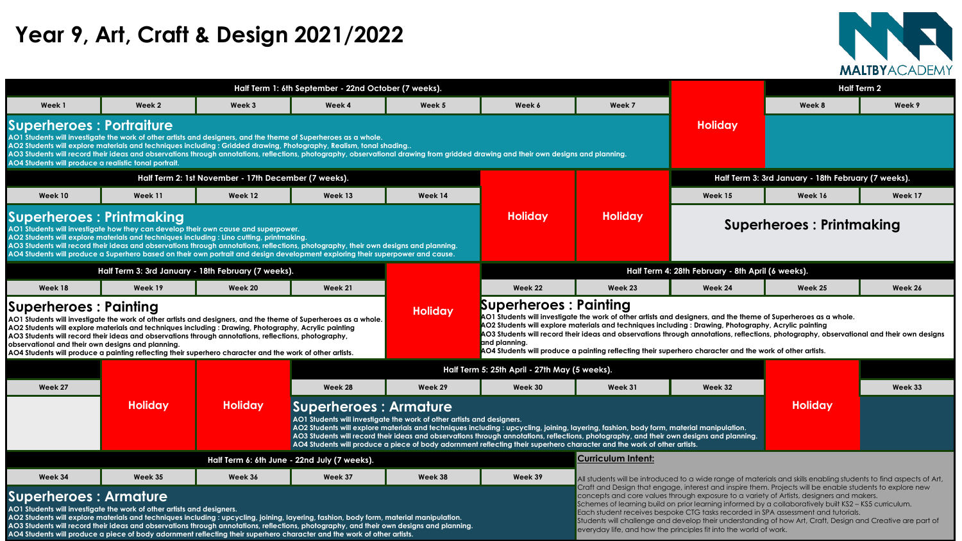|                                                                                                                                                                                                                                                                                                                                                                                                                                                                                                                                    |                                                                                                                                                                                                                                                                                                                                                                                                                                                           |                                                      | Half Term 1: 6th September - 22nd October (7 weeks). |                                                                        |                                                                                                                                                                                                                                                                                                                                                                                                                                                                                                                                                                                                                  |                           |                                                                                                                                                                                                                                                                                                               |         | <b>Half Term 2</b> |
|------------------------------------------------------------------------------------------------------------------------------------------------------------------------------------------------------------------------------------------------------------------------------------------------------------------------------------------------------------------------------------------------------------------------------------------------------------------------------------------------------------------------------------|-----------------------------------------------------------------------------------------------------------------------------------------------------------------------------------------------------------------------------------------------------------------------------------------------------------------------------------------------------------------------------------------------------------------------------------------------------------|------------------------------------------------------|------------------------------------------------------|------------------------------------------------------------------------|------------------------------------------------------------------------------------------------------------------------------------------------------------------------------------------------------------------------------------------------------------------------------------------------------------------------------------------------------------------------------------------------------------------------------------------------------------------------------------------------------------------------------------------------------------------------------------------------------------------|---------------------------|---------------------------------------------------------------------------------------------------------------------------------------------------------------------------------------------------------------------------------------------------------------------------------------------------------------|---------|--------------------|
| Week 1                                                                                                                                                                                                                                                                                                                                                                                                                                                                                                                             | Week 2                                                                                                                                                                                                                                                                                                                                                                                                                                                    | Week 3                                               | Week 4                                               | Week 5                                                                 | Week 6                                                                                                                                                                                                                                                                                                                                                                                                                                                                                                                                                                                                           | Week 7                    |                                                                                                                                                                                                                                                                                                               | Week 8  | Week 9             |
| <b>Superheroes : Portraiture</b><br>AO4 Students will produce a realistic tonal portrait.                                                                                                                                                                                                                                                                                                                                                                                                                                          | AO1 Students will investigate the work of other artists and designers, and the theme of Superheroes as a whole.<br>AO2 Students will explore materials and techniques including : Gridded drawing, Photography, Realism, tonal shading                                                                                                                                                                                                                    |                                                      |                                                      |                                                                        | AO3 Students will record their ideas and observations through annotations, reflections, photography, observational drawing from gridded drawing and their own designs and planning.                                                                                                                                                                                                                                                                                                                                                                                                                              |                           | <b>Holiday</b>                                                                                                                                                                                                                                                                                                |         |                    |
|                                                                                                                                                                                                                                                                                                                                                                                                                                                                                                                                    |                                                                                                                                                                                                                                                                                                                                                                                                                                                           | Half Term 2: 1st November - 17th December (7 weeks). |                                                      |                                                                        |                                                                                                                                                                                                                                                                                                                                                                                                                                                                                                                                                                                                                  |                           | Half Term 3: 3rd January - 18th February (7 weeks).                                                                                                                                                                                                                                                           |         |                    |
| Week 10                                                                                                                                                                                                                                                                                                                                                                                                                                                                                                                            | Week 11                                                                                                                                                                                                                                                                                                                                                                                                                                                   | Week 12                                              | Week 13                                              | Week 14                                                                |                                                                                                                                                                                                                                                                                                                                                                                                                                                                                                                                                                                                                  |                           | Week 15                                                                                                                                                                                                                                                                                                       | Week 16 | Week 17            |
| <b>Superheroes: Printmaking</b>                                                                                                                                                                                                                                                                                                                                                                                                                                                                                                    | AO1 Students will investigate how they can develop their own cause and superpower.<br>AO2 Students will explore materials and techniques including : Lino cutting, printmaking.<br>AO3 Students will record their ideas and observations through annotations, reflections, photography, their own designs and planning.<br>AO4 Students will produce a Superhero based on their own portrait and design development exploring their superpower and cause. |                                                      |                                                      |                                                                        | <b>Holiday</b>                                                                                                                                                                                                                                                                                                                                                                                                                                                                                                                                                                                                   | <b>Holiday</b>            | <b>Superheroes: Printmaking</b>                                                                                                                                                                                                                                                                               |         |                    |
|                                                                                                                                                                                                                                                                                                                                                                                                                                                                                                                                    | Half Term 3: 3rd January - 18th February (7 weeks).                                                                                                                                                                                                                                                                                                                                                                                                       |                                                      |                                                      |                                                                        |                                                                                                                                                                                                                                                                                                                                                                                                                                                                                                                                                                                                                  |                           | Half Term 4: 28th February - 8th April (6 weeks).                                                                                                                                                                                                                                                             |         |                    |
| Week 18                                                                                                                                                                                                                                                                                                                                                                                                                                                                                                                            | Week 19                                                                                                                                                                                                                                                                                                                                                                                                                                                   | Week 20                                              | Week 21                                              |                                                                        | Week 22                                                                                                                                                                                                                                                                                                                                                                                                                                                                                                                                                                                                          | Week 23                   | Week 24                                                                                                                                                                                                                                                                                                       | Week 25 | Week 26            |
| <b>Superheroes : Painting</b><br>AO1 Students will investigate the work of other artists and designers, and the theme of Superheroes as a whole.<br>AO2 Students will explore materials and techniques including : Drawing, Photography, Acrylic painting<br>AO3 Students will record their ideas and observations through annotations, reflections, photography,<br>observational and their own designs and planning.<br>AO4 Students will produce a painting reflecting their superhero character and the work of other artists. |                                                                                                                                                                                                                                                                                                                                                                                                                                                           |                                                      |                                                      | <b>Holiday</b>                                                         | <b>. .</b> .<br><b>Contract Contract Contract Contract</b><br><b>Superheroes: Painting</b><br>AO1 Students will investigate the work of other artists and designers, and the theme of Superheroes as a whole.<br>AO2 Students will explore materials and techniques including : Drawing, Photography, Acrylic painting<br>AO3 Students will record their ideas and observations through annotations, reflections, photography, observational and their own designs<br>and planning.<br>$\overline{A\rm O4}$ Students will produce a painting reflecting their superhero character and the work of other artists. |                           |                                                                                                                                                                                                                                                                                                               |         |                    |
|                                                                                                                                                                                                                                                                                                                                                                                                                                                                                                                                    |                                                                                                                                                                                                                                                                                                                                                                                                                                                           |                                                      |                                                      |                                                                        | Half Term 5: 25th April - 27th May (5 weeks).                                                                                                                                                                                                                                                                                                                                                                                                                                                                                                                                                                    |                           |                                                                                                                                                                                                                                                                                                               |         |                    |
| Week 27                                                                                                                                                                                                                                                                                                                                                                                                                                                                                                                            |                                                                                                                                                                                                                                                                                                                                                                                                                                                           |                                                      | Week 28                                              | Week 29                                                                | Week 30                                                                                                                                                                                                                                                                                                                                                                                                                                                                                                                                                                                                          | Week 31                   | Week 32                                                                                                                                                                                                                                                                                                       |         | Week 33            |
|                                                                                                                                                                                                                                                                                                                                                                                                                                                                                                                                    | <b>Holiday</b>                                                                                                                                                                                                                                                                                                                                                                                                                                            | <b>Holiday</b>                                       | Superheroes : Armature                               | AO1 Students will investigate the work of other artists and designers. | <b>Holiday</b><br>AO2 Students will explore materials and techniques including : upcycling, joining, layering, fashion, body form, material manipulation.<br>AO3 Students will record their ideas and observations through annotations, reflections, photography, and their own designs and planning.<br>AO4 Students will produce a piece of body adornment reflecting their superhero character and the work of other artists.                                                                                                                                                                                 |                           |                                                                                                                                                                                                                                                                                                               |         |                    |
|                                                                                                                                                                                                                                                                                                                                                                                                                                                                                                                                    |                                                                                                                                                                                                                                                                                                                                                                                                                                                           |                                                      | Half Term 6: 6th June - 22nd July (7 weeks).         |                                                                        |                                                                                                                                                                                                                                                                                                                                                                                                                                                                                                                                                                                                                  | <b>Curriculum Intent:</b> |                                                                                                                                                                                                                                                                                                               |         |                    |
| Week 34                                                                                                                                                                                                                                                                                                                                                                                                                                                                                                                            | Week 35                                                                                                                                                                                                                                                                                                                                                                                                                                                   | Week 36                                              | Week 37                                              | Week 38                                                                | Week 39                                                                                                                                                                                                                                                                                                                                                                                                                                                                                                                                                                                                          |                           | All students will be introduced to a wide range of materials and skills enabling students to find aspects of Art,                                                                                                                                                                                             |         |                    |
| <b>Superheroes : Armature</b>                                                                                                                                                                                                                                                                                                                                                                                                                                                                                                      |                                                                                                                                                                                                                                                                                                                                                                                                                                                           |                                                      |                                                      |                                                                        |                                                                                                                                                                                                                                                                                                                                                                                                                                                                                                                                                                                                                  |                           | Craft and Design that engage, interest and inspire them. Projects will be enable students to explore new<br>concepts and core values through exposure to a variety of Artists, designers and makers.<br>Schemes of learning build on prior learning informed by a collaboratively built KS2 - KS5 curriculum. |         |                    |

|                                                                                                                                                                                                                                                                                                                                                                                              |                                 |                                                     | <b>MALTBYACADEMY</b> |  |  |  |  |  |  |
|----------------------------------------------------------------------------------------------------------------------------------------------------------------------------------------------------------------------------------------------------------------------------------------------------------------------------------------------------------------------------------------------|---------------------------------|-----------------------------------------------------|----------------------|--|--|--|--|--|--|
|                                                                                                                                                                                                                                                                                                                                                                                              |                                 |                                                     | <b>Half Term 2</b>   |  |  |  |  |  |  |
| Week 7                                                                                                                                                                                                                                                                                                                                                                                       |                                 | Week 8                                              | Week 9               |  |  |  |  |  |  |
| s and planning.                                                                                                                                                                                                                                                                                                                                                                              | <b>Holiday</b>                  |                                                     |                      |  |  |  |  |  |  |
|                                                                                                                                                                                                                                                                                                                                                                                              |                                 | Half Term 3: 3rd January - 18th February (7 weeks). |                      |  |  |  |  |  |  |
|                                                                                                                                                                                                                                                                                                                                                                                              | Week 15                         | Week 16                                             | Week 17              |  |  |  |  |  |  |
| <b>Holiday</b>                                                                                                                                                                                                                                                                                                                                                                               | <b>Superheroes: Printmaking</b> |                                                     |                      |  |  |  |  |  |  |
| Half Term 4: 28th February - 8th April (6 weeks).                                                                                                                                                                                                                                                                                                                                            |                                 |                                                     |                      |  |  |  |  |  |  |
|                                                                                                                                                                                                                                                                                                                                                                                              |                                 |                                                     |                      |  |  |  |  |  |  |
| <b>Week 23</b>                                                                                                                                                                                                                                                                                                                                                                               | Week 24                         | Week 25                                             | Week 26              |  |  |  |  |  |  |
|                                                                                                                                                                                                                                                                                                                                                                                              |                                 |                                                     |                      |  |  |  |  |  |  |
| Painting<br>e the work of other artists and designers, and the theme of Superheroes as a whole.<br>aterials and techniques including : Drawing, Photography, Acrylic painting<br>ir ideas and observations through annotations, reflections, photography, observational and their own designs<br>I painting reflecting their superhero character and the work of other artists.<br>5 weeks). |                                 |                                                     |                      |  |  |  |  |  |  |
| Week 31                                                                                                                                                                                                                                                                                                                                                                                      | Week 32                         |                                                     | Week 33              |  |  |  |  |  |  |
| ayering, fashion, body form, material manipulation.<br>ns, photography, and their own designs and planning.<br>aracter and the work of other artists.                                                                                                                                                                                                                                        |                                 | <b>Holiday</b>                                      |                      |  |  |  |  |  |  |
| <b>Curriculum Intent:</b>                                                                                                                                                                                                                                                                                                                                                                    |                                 |                                                     |                      |  |  |  |  |  |  |

**AO1 Students will investigate the work of other artists and designers.** 

**AO2 Students will explore materials and techniques including : upcycling, joining, layering, fashion, body form, material manipulation. AO3 Students will record their ideas and observations through annotations, reflections, photography, and their own designs and planning. AO4 Students will produce a piece of body adornment reflecting their superhero character and the work of other artists.** 



### **Year 9, Art, Craft & Design 2021/2022**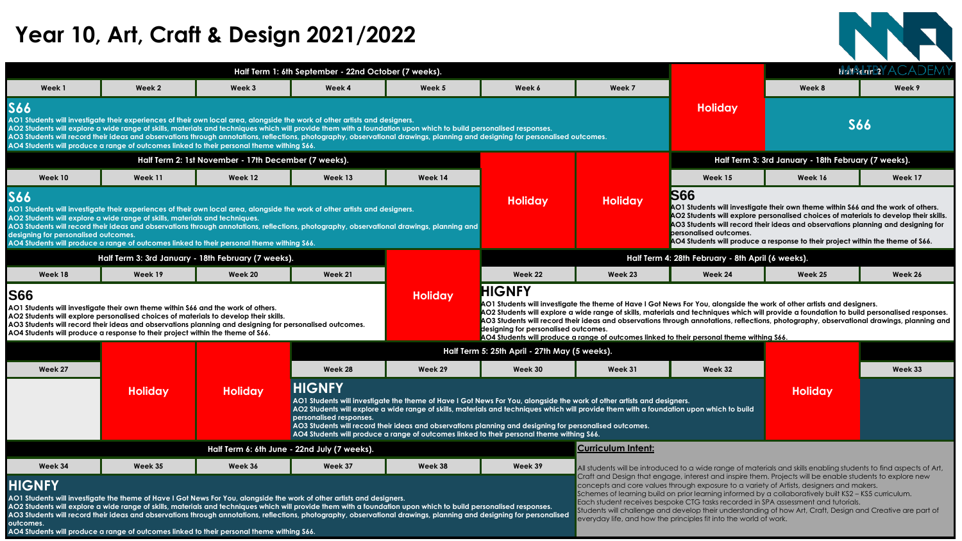|        | Half Term 1: 6th September - 22nd October (7 weeks). |        |        |        |  |  |  |  |  |
|--------|------------------------------------------------------|--------|--------|--------|--|--|--|--|--|
| Week 1 | Week 2                                               | Week 3 | Week 4 | Week 5 |  |  |  |  |  |

#### **S66**

**AO1 Students will investigate their experiences of their own local area, alongside the work of other artists and designers.**  AO2 Students will explore a wide range of skills, materials and techniques which will provide them with a foundation upon which to AO3 Students will record their ideas and observations through annotations, reflections, photography, observational drawings, plann **AO4 Students will produce a range of outcomes linked to their personal theme withing S66.**

AO3 Students will record their ideas and observations through annotations, reflections, photography, observational drawings, plann **designing for personalised outcomes.** 

| Half Term 2: 1st November - 17th December (7 weeks). |         |         |         |         |  |  |  |  |  |
|------------------------------------------------------|---------|---------|---------|---------|--|--|--|--|--|
| Week 10                                              | Week 11 | Week 12 | Week 13 | Week 14 |  |  |  |  |  |
|                                                      |         |         |         |         |  |  |  |  |  |

### **S66**

**AO1 Students will investigate their experiences of their own local area, alongside the work of other artists and designers.** 

**AO2 Students will explore a wide range of skills, materials and techniques.**

**AO4 Students will produce a range of outcomes linked to their personal theme withing S66.**

|                              | ear 10, Art, Craft & Design 2021/2022                                                                                                                                                                                                                                                                                                                                                                                                                                                                                                              |                                                      |                                                      |         |                                                                                                                        |                |                                                                                                                                                                                                                                                                                                                                                                                                                                                                                                                        |                                                     |                         |
|------------------------------|----------------------------------------------------------------------------------------------------------------------------------------------------------------------------------------------------------------------------------------------------------------------------------------------------------------------------------------------------------------------------------------------------------------------------------------------------------------------------------------------------------------------------------------------------|------------------------------------------------------|------------------------------------------------------|---------|------------------------------------------------------------------------------------------------------------------------|----------------|------------------------------------------------------------------------------------------------------------------------------------------------------------------------------------------------------------------------------------------------------------------------------------------------------------------------------------------------------------------------------------------------------------------------------------------------------------------------------------------------------------------------|-----------------------------------------------------|-------------------------|
|                              |                                                                                                                                                                                                                                                                                                                                                                                                                                                                                                                                                    |                                                      | Half Term 1: 6th September - 22nd October (7 weeks). |         |                                                                                                                        |                |                                                                                                                                                                                                                                                                                                                                                                                                                                                                                                                        |                                                     | <b>HARRIFIEY ACADEM</b> |
| Week 1                       | Week 2                                                                                                                                                                                                                                                                                                                                                                                                                                                                                                                                             | Week 3                                               | Week 4                                               | Week 5  | Week 6                                                                                                                 | Week 7         |                                                                                                                                                                                                                                                                                                                                                                                                                                                                                                                        | Week 8                                              | Week 9                  |
|                              | lents will investigate their experiences of their own local area, alongside the work of other artists and designers.<br>lents will explore a wide range of skills, materials and techniques which will provide them with a foundation upon which to build personalised responses.<br>lents will record their ideas and observations through annotations, reflections, photography, observational drawings, planning and designing for personalised outcomes.<br>lents will produce a range of outcomes linked to their personal theme withing S66. |                                                      |                                                      |         |                                                                                                                        |                | <b>Holiday</b>                                                                                                                                                                                                                                                                                                                                                                                                                                                                                                         |                                                     | <b>S66</b>              |
|                              |                                                                                                                                                                                                                                                                                                                                                                                                                                                                                                                                                    | Half Term 2: 1st November - 17th December (7 weeks). |                                                      |         |                                                                                                                        |                |                                                                                                                                                                                                                                                                                                                                                                                                                                                                                                                        | Half Term 3: 3rd January - 18th February (7 weeks). |                         |
| <b>Week 10</b>               | Week 11                                                                                                                                                                                                                                                                                                                                                                                                                                                                                                                                            | Week 12                                              | Week 13                                              | Week 14 |                                                                                                                        |                | Week 15                                                                                                                                                                                                                                                                                                                                                                                                                                                                                                                | Week 16                                             | Week 17                 |
| g for personalised outcomes. | lents will investigate their experiences of their own local area, alongside the work of other artists and designers.<br>lents will explore a wide range of skills, materials and techniques.<br>$\,$ lents will record their ideas and observations through annotations, reflections, photography, observational drawings, planning and $\,$<br>lents will produce a range of outcomes linked to their personal theme withing S66.                                                                                                                 |                                                      |                                                      |         | <b>Holiday</b>                                                                                                         | <b>Holiday</b> | <b>S66</b><br>AO1 Students will investigate their own theme within S66 and the work of others.<br>AO2 Students will explore personalised choices of materials to develop their skills.<br>AO3 Students will record their ideas and observations planning and designing for<br><b>personalised outcomes.</b><br>AO4 Students will produce a response to their project within the theme of S66.                                                                                                                          |                                                     |                         |
|                              | Half Term 3: 3rd January - 18th February (7 weeks).                                                                                                                                                                                                                                                                                                                                                                                                                                                                                                |                                                      |                                                      |         |                                                                                                                        |                | Half Term 4: 28th February - 8th April (6 weeks).                                                                                                                                                                                                                                                                                                                                                                                                                                                                      |                                                     |                         |
| Week 18                      | Week 19                                                                                                                                                                                                                                                                                                                                                                                                                                                                                                                                            | <b>Week 20</b>                                       | Week 21                                              |         | Week 22                                                                                                                | Week 23        | Week 24                                                                                                                                                                                                                                                                                                                                                                                                                                                                                                                | Week 25                                             | Week 26                 |
|                              | lents will investigate their own theme within S66 and the work of others.<br>ents will explore personalised choices of materials to develop their skills.<br>ents will record their ideas and observations planning and designing for personalised outcomes.<br>lents will produce a response to their project within the theme of S66.                                                                                                                                                                                                            |                                                      |                                                      | Holiday | <b>HIGNFY</b><br>designing for personalised outcomes.                                                                  |                | AO1 Students will investigate the theme of Have I Got News For You, alongside the work of other artists and designers.<br>AO2 Students will explore a wide range of skills, materials and techniques which will provide a foundation to build personalised responses.<br>AO3 Students will record their ideas and observations through annotations, reflections, photography, observational drawings, planning and<br><u>AO4 Students will produce a range of outcomes linked to their personal theme withing S66.</u> |                                                     |                         |
|                              |                                                                                                                                                                                                                                                                                                                                                                                                                                                                                                                                                    |                                                      |                                                      |         | Half Term 5: 25th April - 27th May (5 weeks).                                                                          |                |                                                                                                                                                                                                                                                                                                                                                                                                                                                                                                                        |                                                     |                         |
| Week 27                      |                                                                                                                                                                                                                                                                                                                                                                                                                                                                                                                                                    |                                                      | Week 28                                              | Week 29 | Week 30                                                                                                                | Week 31        | Week 32                                                                                                                                                                                                                                                                                                                                                                                                                                                                                                                |                                                     | Week 33                 |
|                              | <b>Holiday</b>                                                                                                                                                                                                                                                                                                                                                                                                                                                                                                                                     | <b>Holiday</b>                                       | <b>HIGNFY</b>                                        |         | AO1 Students will investigate the theme of Have I Got News For You, alongside the work of other artists and designers. |                | AO2 Students will explore a wide range of skills, materials and techniques which will provide them with a foundation upon which to build                                                                                                                                                                                                                                                                                                                                                                               | <b>Holiday</b>                                      |                         |

AO2 Students will explore a wide range of skills, materials and techniques which will provide them with a foundation upon which to AO3 Students will record their ideas and observations through annotations, reflections, photography, observational drawings, plani **outcomes.** 



| Half Term 3: 3rd January - 18th February (7 weeks). |                                                                                                                                                                                                                                                                                                                                                                       |                |                                                                                                                                                                                                                                                                                                                                                                                                                                                                                    |                                                                                                                                                                                                                                                                                             | <b>Half Terr</b> |                                                   |  |
|-----------------------------------------------------|-----------------------------------------------------------------------------------------------------------------------------------------------------------------------------------------------------------------------------------------------------------------------------------------------------------------------------------------------------------------------|----------------|------------------------------------------------------------------------------------------------------------------------------------------------------------------------------------------------------------------------------------------------------------------------------------------------------------------------------------------------------------------------------------------------------------------------------------------------------------------------------------|---------------------------------------------------------------------------------------------------------------------------------------------------------------------------------------------------------------------------------------------------------------------------------------------|------------------|---------------------------------------------------|--|
| Week 18                                             | Week 19                                                                                                                                                                                                                                                                                                                                                               | Week 20        | Week 21                                                                                                                                                                                                                                                                                                                                                                                                                                                                            |                                                                                                                                                                                                                                                                                             | Week 22          | Week 23                                           |  |
| <b>IS66</b>                                         | AO1 Students will investigate their own theme within S66 and the work of others.<br>AO2 Students will explore personalised choices of materials to develop their skills.<br>AO3 Students will record their ideas and observations planning and designing for personalised outcomes.<br>AO4 Students will produce a response to their project within the theme of S66. |                | <b>Holiday</b>                                                                                                                                                                                                                                                                                                                                                                                                                                                                     | <b>HIGNFY</b><br><b>AO1 Students will investigate the theme of Have I Go</b><br>AO2 Students will explore a wide range of skills, mat<br>AO3 Students will record their ideas and observation<br>designing for personalised outcomes.<br>AO4 Students will produce a range of outcomes link |                  |                                                   |  |
|                                                     |                                                                                                                                                                                                                                                                                                                                                                       |                | Half Term 5: 25th April - 27th May (5 weeks).                                                                                                                                                                                                                                                                                                                                                                                                                                      |                                                                                                                                                                                                                                                                                             |                  |                                                   |  |
| Week 27                                             |                                                                                                                                                                                                                                                                                                                                                                       |                | Week 28                                                                                                                                                                                                                                                                                                                                                                                                                                                                            | Week 29                                                                                                                                                                                                                                                                                     | Week 30          | Week 31                                           |  |
|                                                     | <b>Holiday</b>                                                                                                                                                                                                                                                                                                                                                        | <b>Holiday</b> | <b>HIGNFY</b><br>AO1 Students will investigate the theme of Have I Got News For You, alongside the work of other artists and a<br>AO2 Students will explore a wide range of skills, materials and techniques which will provide them with a fou<br>personalised responses.<br>AO3 Students will record their ideas and observations planning and designing for personalised outcomes.<br>AO4 Students will produce a range of outcomes linked to their personal theme withing S66. |                                                                                                                                                                                                                                                                                             |                  |                                                   |  |
|                                                     |                                                                                                                                                                                                                                                                                                                                                                       |                | Half Term 6: 6th June - 22nd July (7 weeks).                                                                                                                                                                                                                                                                                                                                                                                                                                       |                                                                                                                                                                                                                                                                                             |                  | <b>Curriculum Intent:</b>                         |  |
| Week 34                                             | Week 35                                                                                                                                                                                                                                                                                                                                                               | Week 36        | Week 37                                                                                                                                                                                                                                                                                                                                                                                                                                                                            | Week 38                                                                                                                                                                                                                                                                                     | Week 39          | All students will be introd                       |  |
| <b>HICNEY</b>                                       |                                                                                                                                                                                                                                                                                                                                                                       |                |                                                                                                                                                                                                                                                                                                                                                                                                                                                                                    |                                                                                                                                                                                                                                                                                             |                  | Craft and Design that e<br>concepts and core valu |  |

|                                                                      | <b>Curriculum Intent:</b>                                                                                                                                                                                                                                                                                                                                                                                                                                                                                                                                                          |
|----------------------------------------------------------------------|------------------------------------------------------------------------------------------------------------------------------------------------------------------------------------------------------------------------------------------------------------------------------------------------------------------------------------------------------------------------------------------------------------------------------------------------------------------------------------------------------------------------------------------------------------------------------------|
| Week 39                                                              | All students will be introduced to a wide range of materials and skills enabling students to find aspects of                                                                                                                                                                                                                                                                                                                                                                                                                                                                       |
| build personalised responses.<br>ning and designing for personalised | Craft and Design that engage, interest and inspire them. Projects will be enable students to explore new<br>concepts and core values through exposure to a variety of Artists, designers and makers.<br>Schemes of learning build on prior learning informed by a collaboratively built KS2 - KS5 curriculum.<br>Each student receives bespoke CTG tasks recorded in SPA assessment and tutorials.<br>Students will challenge and develop their understanding of how Art, Craft, Design and Creative are part<br>everyday life, and how the principles fit into the world of work. |

### **HIGNFY**

**AO1 Students will investigate the theme of Have I Got News For You, alongside the work of other artists and designers.** 

**AO4 Students will produce a range of outcomes linked to their personal theme withing S66.**

# **Year 10, Art, Craft & Design 2021/2022**